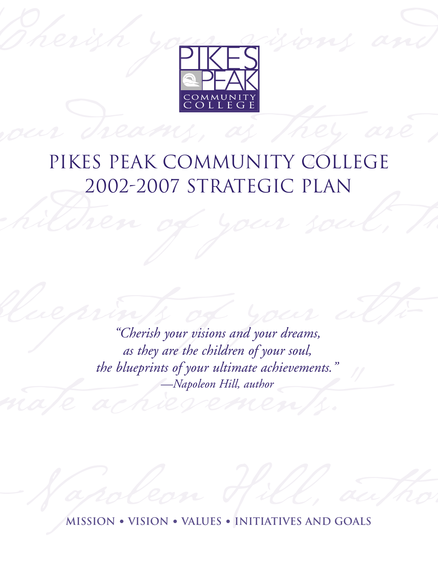

# your dreams, as they are t Pikes Peak Community College 2002-2007 STRATEGIC PLAN

blueprints of your ulti-*"Cherish your visions and your dreams, as they are the children of your soul, the blueprints of your ultimate achievements." —Napoleon Hill, author*

—Napoleon Hill, author **Mission** • **Vision** • **Values** • **Initiatives and Goals**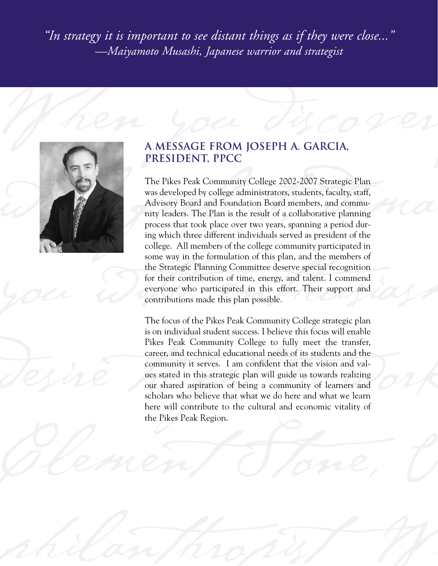*"In strategy it is important to see distant things as if they were close..." —Maiyamoto Musashi, Japanese warrior and strategist*



# Then you discover **A message from Joseph A. Garcia, President, PPCC**

The Pikes Peak Community College 2002-2007 Strategic Plan<br>was developed by college administrators, students, faculty, staff,<br>Advisory Board and Foundation Board members, and commu-<br>nity leaders. The Plan is the result of a the Strategic Planning Committee deserve special recognition<br>for their contribution of time, energy, and talent. I commend<br>everyone who participated in this effort. Their support and<br>contributions made this plan possible.<br> The Pikes Peak Community College 2002-2007 Strategic Plan was developed by college administrators, students, faculty, staff, Advisory Board and Foundation Board members, and community leaders. The Plan is the result of a collaborative planning process that took place over two years, spanning a period during which three different individuals served as president of the college. All members of the college community participated in some way in the formulation of this plan, and the members of the Strategic Planning Committee deserve special recognition for their contribution of time, energy, and talent. I commend everyone who participated in this effort. Their support and contributions made this plan possible.

career, and technical educational needs of its students and the<br>community it serves. I am confident that the vision and val-<br>ues stated in this strategic plan will guide us towards realizing<br>our shared aspiration of being The focus of the Pikes Peak Community College strategic plan is on individual student success. I believe this focus will enable Pikes Peak Community College to fully meet the transfer, career, and technical educational needs of its students and the community it serves. I am confident that the vision and values stated in this strategic plan will guide us towards realizing our shared aspiration of being a community of learners and scholars who believe that what we do here and what we learn here will contribute to the cultural and economic vitality of the Pikes Peak Region.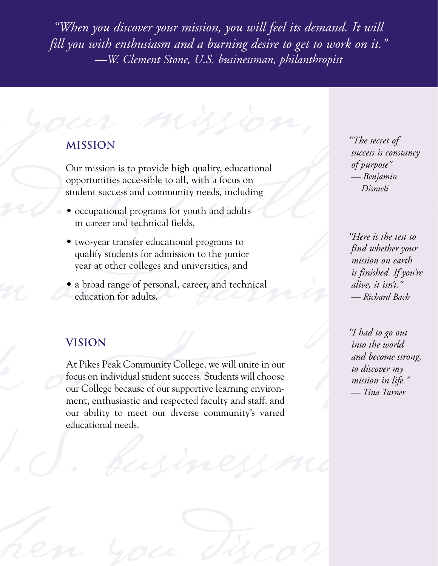*"When you discover your mission, you will feel its demand. It will fill you with enthusiasm and a burning desire to get to work on it." —W. Clement Stone, U.S. businessman, philanthropist*

### **Mission**

opportunities accessible to all, with a focus on<br>
student success and community needs, including<br>
• occupational programs for youth and adults<br>
in career and technical fields,<br>
• two-year transfer educational programs to<br> Our mission is to provide high quality, educational opportunities accessible to all, with a focus on student success and community needs, including

- occupational programs for youth and adults in career and technical fields,
- two-year transfer educational programs to qualify students for admission to the junior year at other colleges and universities, and
- $\begin{array}{r}\n\bullet \\
\bullet \\
\bullet\n\end{array}$  a broad range of personal, career, and technical<br>
education for adults.<br>  $\begin{array}{r}\n\bullet \\
\bullet \\
\bullet\n\end{array}$  a broad range of personal, career, and technical<br>  $\begin{array}{r}\n\bullet \\
\bullet \\
\bullet\n\end{array}$  a business  $\begin{array}{r}\n\bullet \\$ • a broad range of personal, career, and technical education for adults.

### **Vision**

At Pikes Peak Community College, we will unite in our<br>focus on individual student success. Students will choose<br>our College because of our supportive learning environ-<br>ment, enthusiastic and respected faculty and staff, an At Pikes Peak Community College, we will unite in our focus on individual student success. Students will choose our College because of our supportive learning environment, enthusiastic and respected faculty and staff, and our ability to meet our diverse community's varied educational needs.

MISSION MISSION SURVIVER, SURVIVER OF SUCCESS IS CONSTANT SUCCESS IS CONSTANT *"The secret of success is constancy of purpose" — Benjamin Disraeli*

> *"Here is the test to find whether your mission on earth is finished. If you're alive, it isn't." — Richard Bach*

*"I had to go out into the world and become strong, to discover my mission in life." — Tina Turner*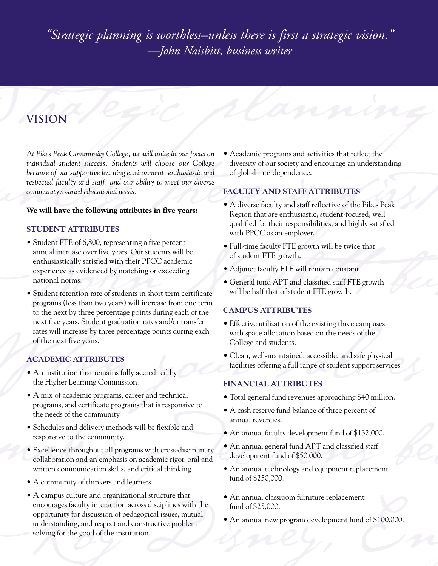## *"Strategic planning is worthless–unless there is first a strategic vision." —John Naisbitt, business writer*

# Strategic planning **Vision**

*At Pikes Peak Community College, we will unite in our focus on individual student success. Students will choose our College because of our supportive learning environment, enthusiastic and respected faculty and staff, and our ability to meet our diverse community's varied educational needs.* 

#### **We will have the following attributes in five years:**

#### **STUDENT ATTRIBUTES**

- Student FTE of 6,800, representing a five percent annual increase over five years. Our students will be enthusiastically satisfied with their PPCC academic experience as evidenced by matching or exceeding national norms.
- moual increase over rive years. Our students will be<br>
enthusiastically satisfied with their PPCC academic<br>
experience as evidenced by matching or exceeding<br>
and APT and classified staff FTE growth.<br>
Student retention rate • Student retention rate of students in short term certificate programs (less than two years) will increase from one term to the next by three percentage points during each of the next five years. Student graduation rates and/or transfer rates will increase by three percentage points during each of the next five years.

#### **ACADEMIC ATTRIBUTES**

- An institution that remains fully accredited by the Higher Learning Commission.
- A mix of academic programs, career and technical programs, and certificate programs that is responsive to the needs of the community.
- Schedules and delivery methods will be flexible and responsive to the community.
- Schedules and delivery methods will be flexible and<br>
responsive to the community.<br>
 Excellence throughout all programs with cross-disciplinary<br>
 An annual general fund APT and classified staff<br>
collaboration and an emp • Excellence throughout all programs with cross-disciplinary collaboration and an emphasis on academic rigor, oral and written communication skills, and critical thinking.
	- A community of thinkers and learners.
- opportunity for discussion of pedagogical issues, mutual<br>understanding, and respect and constructive problem<br>solving for the good of the institution. • A campus culture and organizational structure that encourages faculty interaction across disciplines with the opportunity for discussion of pedagogical issues, mutual understanding, and respect and constructive problem solving for the good of the institution.

• Academic programs and activities that reflect the diversity of our society and encourage an understanding of global interdependence.

#### **FACULTY AND STAFF ATTRIBUTES**

- because of our supportive learning environment, enthusiastic and<br>
respected faculty and staff, and our ability to meet our diverse<br>
community's varied educational needs.<br> **EACULTY AND STAFF ATTRIBUTES**<br> **EACULTY AND STAFF** • A diverse faculty and staff reflective of the Pikes Peak Region that are enthusiastic, student-focused, well qualified for their responsibilities, and highly satisfied with PPCC as an employer.
	- Full-time faculty FTE growth will be twice that of student FTE growth.
	- Adjunct faculty FTE will remain constant.
	- General fund APT and classified staff FTE growth will be half that of student FTE growth.

#### **CAMPUS ATTRIBUTES**

- Effective utilization of the existing three campuses with space allocation based on the needs of the College and students.
- of the next five years.<br>
ACADEMIC ATTRIBUTES<br>
 Clean, well-maintained, accessible, and safe physical<br>
 Clean, well-maintained, accessible, and safe physical<br>
 Clean, well-maintained, accessible, and safe physical<br>
facil • Clean, well-maintained, accessible, and safe physical facilities offering a full range of student support services.

#### **FINANCIAL ATTRIBUTES**

- Total general fund revenues approaching \$40 million.
- A cash reserve fund balance of three percent of annual revenues.
- An annual faculty development fund of \$132,000.
- An annual general fund APT and classified staff development fund of \$50,000.
- An annual technology and equipment replacement fund of \$250,000.
- An annual classroom furniture replacement fund of \$25,000.
- An annual new program development fund of \$100,000.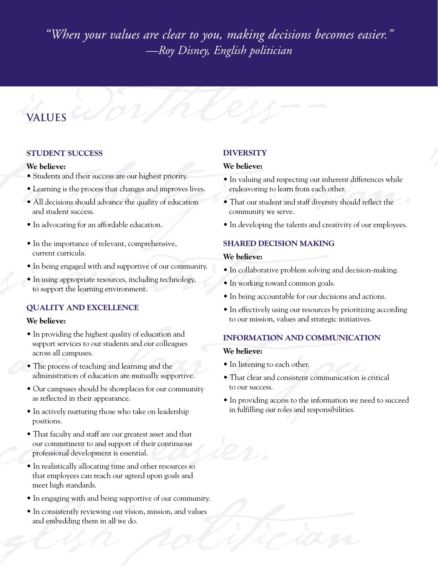*"When your values are clear to you, making decisions becomes easier." —Roy Disney, English politician*

is worthless-**Values**

#### **STUDENT SUCCESS**

#### **We believe:**

- Students and their success are our highest priority.
- Learning is the process that changes and improves lives.
- All decisions should advance the quality of education and student success.
- In advocating for an affordable education.
- In the importance of relevant, comprehensive, current curricula.
- In being engaged with and supportive of our community.
- We believe:<br>
 In being engaged with and supportive of our community.<br>
 In collaborat<br>
 In using appropriate resources, including technology,<br>
 In working t<br>
 In being acc<br>
QUALITY AND EXCELLENCE<br>
 In effectively<br>
to • In using appropriate resources, including technology, to support the learning environment.

#### **QUALITY AND EXCELLENCE**

#### **We believe:**

- EXERCISE SURVEY AND COMMUNICATION<br>
support services to our students and our colleagues<br>
are clear to your success.<br>
 The process of teaching and learning and the<br>
administration of education are mutually supportive.<br>
 Th • In providing the highest quality of education and support services to our students and our colleagues across all campuses.
	- The process of teaching and learning and the administration of education are mutually supportive.
	- Our campuses should be showplaces for our community as reflected in their appearance.
	- In actively nurturing those who take on leadership positions.
	- That faculty and staff are our greatest asset and that our commitment to and support of their continuous professional development is essential.
- That faculty and staff are our greatest asset and that<br>
our commitment to and support of their continuous<br>
professional development is essential.<br>
 In realistically allocating time and other resources so<br>
that employees • In realistically allocating time and other resources so that employees can reach our agreed upon goals and meet high standards.
	- In engaging with and being supportive of our community.
- nglish politician • In consistently reviewing our vision, mission, and values and embedding them in all we do.

#### **DIVERSITY**

#### **We believe:**

- <table>\n<tbody>\n<tr>\n<th>we believe:</th>\n</tr>\n<tr>\n<td>Students and their success are our highest priority.</td>\n<td>In valuing and respectively.</td>\n</tr>\n<tr>\n<td>Learning is the process that changes and improves lives.</td>\n<td>In valuing and testing our inherent differences while endaevoring to learn from each other.</td>\n</tr>\n<tr>\n<td>All decisions should advance the quality of education and student success.</td>\n<td>That our student and staff diversity should reflect the community we serve.</td>\n</tr>\n<tr>\n<td>In advocating for an affordable education.</td>\n<td>In developing the talents and creativity of our employees.</td>\n</tr>\n</tbody>\n</table> • In valuing and respecting our inherent differences while endeavoring to learn from each other.
	- That our student and staff diversity should reflect the community we serve.
	- In developing the talents and creativity of our employees.

#### **SHARED DECISION MAKING**

#### **We believe:**

- In collaborative problem solving and decision-making.
- In working toward common goals.
- In being accountable for our decisions and actions.
- In effectively using our resources by prioritizing according to our mission, values and strategic initiatives.

#### **INFORMATION AND COMMUNICATION**

#### **We believe:**

- In listening to each other.
- That clear and consistent communication is critical to our success.
- In providing access to the information we need to succeed in fulfilling our roles and responsibilities.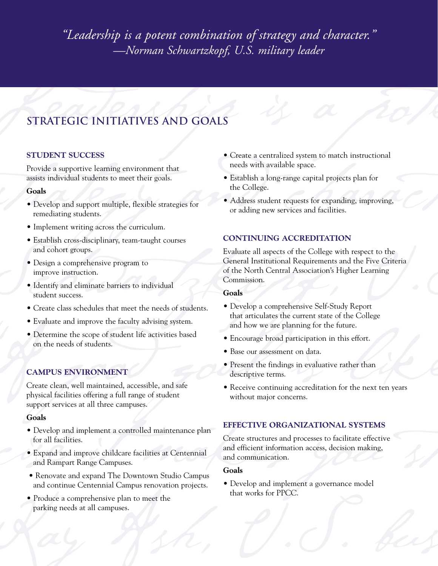*"Leadership is a potent combination of strategy and character." —Norman Schwartzkopf, U.S. military leader*

# KRACKRAKKANG is a pole **Strategic Initiatives and Goals**

#### **STUDENT SUCCESS**

Provide a supportive learning environment that assists individual students to meet their goals.

#### **Goals**

- Provide a supportive learning environment that<br>
assists individual students to meet their goals<br>
 **Goals**<br>
 Develop and support multiple, flexible strategies for<br>
 Address student requests for expanding, improving,<br>
 I • Develop and support multiple, flexible strategies for remediating students.
	- Implement writing across the curriculum.
	- Establish cross-disciplinary, team-taught courses and cohort groups.
	- Design a comprehensive program to improve instruction.
	- Identify and eliminate barriers to individual student success.
	- Create class schedules that meet the needs of students.
	- Evaluate and improve the faculty advising system.
	- Determine the scope of student life activities based on the needs of students.

#### **CAMPUS ENVIRONMENT**

On the needs of students.<br>
• Base our assessment on data.<br>
• Present the findings in evaluative rather than<br>
• Present the findings in evaluative rather than<br>
• Present the findings in evaluative rather than<br>
descriptive t Create clean, well maintained, accessible, and safe physical facilities offering a full range of student support services at all three campuses.

#### **Goals**

- Develop and implement a controlled maintenance plan for all facilities.
- Expand and improve childcare facilities at Centennial and Rampart Range Campuses.
- Renovate and expand The Downtown Studio Campus and continue Centennial Campus renovation projects.
- Kay Ash, U.S. bus • Produce a comprehensive plan to meet the parking needs at all campuses.
- Create a centralized system to match instructional needs with available space.
- Establish a long-range capital projects plan for the College.
- Address student requests for expanding, improving, or adding new services and facilities.

#### **CONTINUING ACCREDITATION**

• Design a comprehensive program to<br>
Scheral Institutional Requirements and the Five Criteria<br>
improve instruction.<br>
Scheral Institutional Requirements and the Five Criteria<br>
of the North Central Association's Higher Learn Evaluate all aspects of the College with respect to the General Institutional Requirements and the Five Criteria of the North Central Association's Higher Learning Commission.

#### **Goals**

- Develop a comprehensive Self-Study Report that articulates the current state of the College and how we are planning for the future.
- Encourage broad participation in this effort.
- Base our assessment on data.
- Present the findings in evaluative rather than descriptive terms.
- Receive continuing accreditation for the next ten years without major concerns.

#### **EFFECTIVE ORGANIZATIONAL SYSTEMS**

• Develop and implement a controlled maintenance plan<br>
for all facilities.<br>
Create structures and processes to facilitate effective<br>
• Expand and improve childcare facilities at Centennial<br>
and Communication.<br>
• Renovate a Create structures and processes to facilitate effective and efficient information access, decision making, and communication.

#### **Goals**

• Develop and implement a governance model that works for PPCC.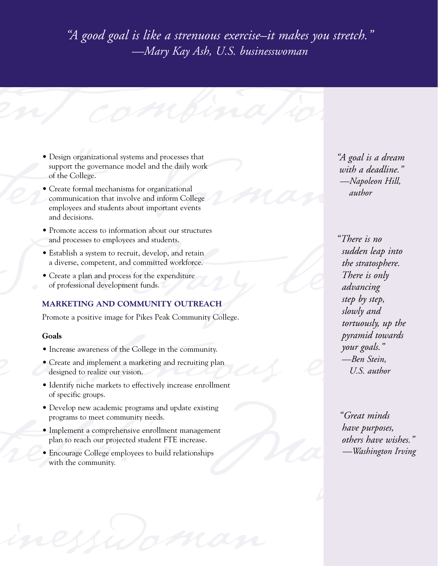### *"A good goal is like a strenuous exercise–it makes you stretch." —Mary Kay Ash, U.S. businesswoman*

- tent combination of • Design organizational systems and processes that support the governance model and the daily work of the College.
	- Support the governance induct and the daily work<br>
	of the College.<br>
	 Create formal mechanisms for organizational<br>
	communication that involve and inform College<br>
	employees and students about important events<br>
	and decisions. • Create formal mechanisms for organizational communication that involve and inform College employees and students about important events and decisions.
		- Promote access to information about our structures and processes to employees and students.
		- Establish a system to recruit, develop, and retain a diverse, competent, and committed workforce.
		- Create a plan and process for the expenditure of professional development funds.

#### **MARKETING AND COMMUNITY OUTREACH**

Promote a positive image for Pikes Peak Community College.

#### **Goals**

- Increase awareness of the College in the community.
- Create and implement a marketing and recruiting plan designed to realize our vision.
- Increase awareness of the College in the community.<br>
 Create and implement a marketing and recruiting plan<br>
designed to realize our vision.<br>
 Identify niche markets to effectively increase enrollment<br>
of specific group • Identify niche markets to effectively increase enrollment of specific groups.
	- Develop new academic programs and update existing programs to meet community needs.
- Implement a comprehensive enrollment management<br>plan to reach our projected student FTE increase.<br>• Encourage College employees to build relationships<br>with the community.<br>• Wash • Implement a comprehensive enrollment management plan to reach our projected student FTE increase.
	- Encourage College employees to build relationships with the community.

*"A goal is a dream with a deadline." —Napoleon Hill, author*

• Establish a system to recruit, develop, and retain<br>
a diverse, competent, and committed workforce.<br>
• Create a plan and process for the expenditure<br>
of professional development funds.<br>
MARKETING AND COMMUNITY OUTREACH<br>
P *"There is no sudden leap into the stratosphere. There is only advancing step by step, slowly and tortuously, up the pyramid towards your goals." —Ben Stein, U.S. author*

> *"Great minds have purposes, others have wishes." —Washington Irving*